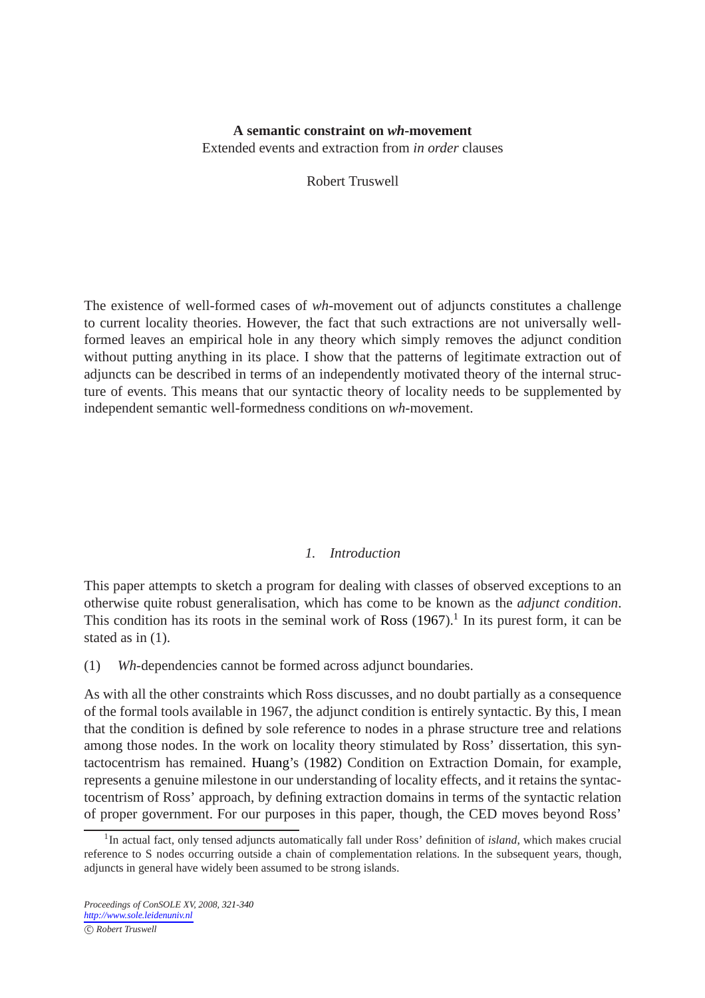# **A semantic constraint on** *wh***-movement**

Extended events and extraction from *in order* clauses

Robert Truswell

The existence of well-formed cases of *wh*-movement out of adjuncts constitutes a challenge to current locality theories. However, the fact that such extractions are not universally wellformed leaves an empirical hole in any theory which simply removes the adjunct condition without putting anything in its place. I show that the patterns of legitimate extraction out of adjuncts can be described in terms of an independently motivated theory of the internal structure of events. This means that our syntactic theory of locality needs to be supplemented by independent semantic well-formedness conditions on *wh*-movement.

## *1. Introduction*

This paper attempts to sketch a program for dealing with classes of observed exceptions to an otherwise quite robust generalisation, which has come to be known as the *adjunct condition*. This condition has its roots in the seminal work of [Ross](#page-19-0)  $(1967)$ .<sup>[1](#page-0-0)</sup> In its purest form, it can be stated as in (1).

(1) *Wh*-dependencies cannot be formed across adjunct boundaries.

As with all the other constraints which Ross discusses, and no doubt partially as a consequence of the formal tools available in 1967, the adjunct condition is entirely syntactic. By this, I mean that the condition is defined by sole reference to nodes in a phrase structure tree and relations among those nodes. In the work on locality theory stimulated by Ross' dissertation, this syntactocentrism has remained. [Huang](#page-18-0)'s [\(1982\)](#page-18-0) Condition on Extraction Domain, for example, represents a genuine milestone in our understanding of locality effects, and it retains the syntactocentrism of Ross' approach, by defining extraction domains in terms of the syntactic relation of proper government. For our purposes in this paper, though, the CED moves beyond Ross'

<span id="page-0-0"></span><sup>&</sup>lt;sup>1</sup>In actual fact, only tensed adjuncts automatically fall under Ross' definition of *island*, which makes crucial reference to S nodes occurring outside a chain of complementation relations. In the subsequent years, though, adjuncts in general have widely been assumed to be strong islands.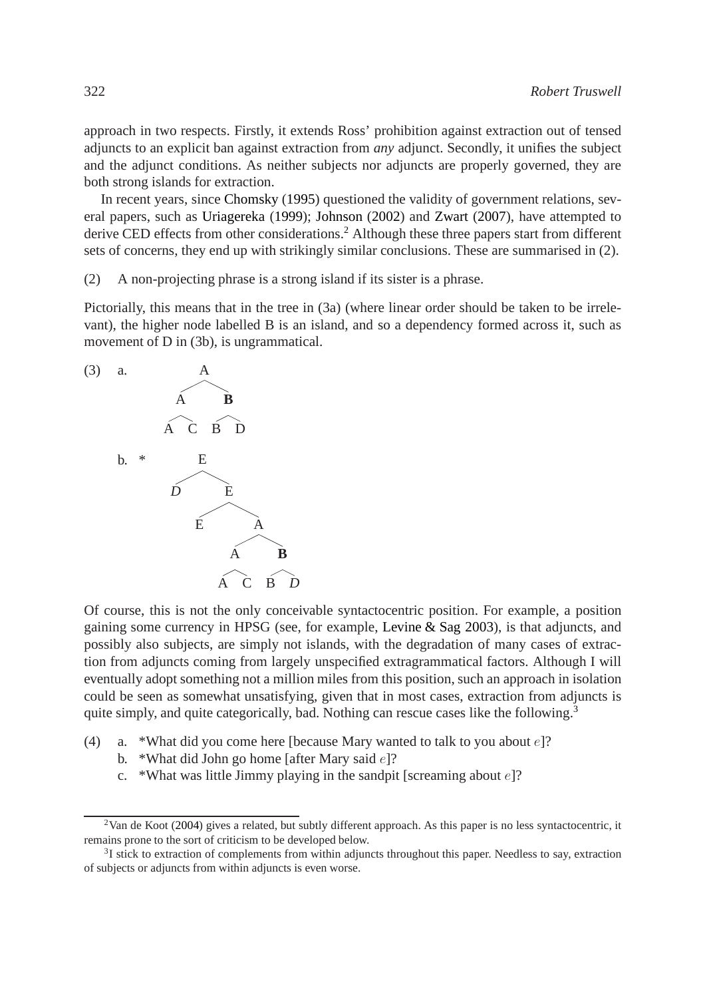approach in two respects. Firstly, it extends Ross' prohibition against extraction out of tensed adjuncts to an explicit ban against extraction from *any* adjunct. Secondly, it unifies the subject and the adjunct conditions. As neither subjects nor adjuncts are properly governed, they are both strong islands for extraction.

In recent years, since [Chomsky](#page-18-1) [\(1995\)](#page-18-1) questioned the validity of government relations, several papers, such as [Uriagereka](#page-19-1) [\(1999\)](#page-19-1); [Johnson](#page-19-2) [\(2002\)](#page-19-2) and [Zwart](#page-19-3) [\(2007](#page-19-3)), have attempted to derive CED effects from other considerations.<sup>[2](#page-1-0)</sup> Although these three papers start from different sets of concerns, they end up with strikingly similar conclusions. These are summarised in (2).

(2) A non-projecting phrase is a strong island if its sister is a phrase.

Pictorially, this means that in the tree in (3a) (where linear order should be taken to be irrelevant), the higher node labelled B is an island, and so a dependency formed across it, such as movement of D in (3b), is ungrammatical.



Of course, this is not the only conceivable syntactocentric position. For example, a position gaining some currency in HPSG (see, for example, [Levine & Sag 2003\)](#page-19-4), is that adjuncts, and possibly also subjects, are simply not islands, with the degradation of many cases of extraction from adjuncts coming from largely unspecified extragrammatical factors. Although I will eventually adopt something not a million miles from this position, such an approach in isolation could be seen as somewhat unsatisfying, given that in most cases, extraction from adjuncts is quite simply, and quite categorically, bad. Nothing can rescue cases like the following.<sup>[3](#page-1-1)</sup>

- <span id="page-1-2"></span>(4) a. \*What did you come here [because Mary wanted to talk to you about e]?
	- b. \*What did John go home [after Mary said  $e$ ]?
	- c. \*What was little Jimmy playing in the sandpit [screaming about  $e$ ]?

<span id="page-1-0"></span> $2$ Van de Koot [\(2004\)](#page-19-5) gives a related, but subtly different approach. As this paper is no less syntactocentric, it remains prone to the sort of criticism to be developed below.

<span id="page-1-1"></span><sup>&</sup>lt;sup>3</sup>I stick to extraction of complements from within adjuncts throughout this paper. Needless to say, extraction of subjects or adjuncts from within adjuncts is even worse.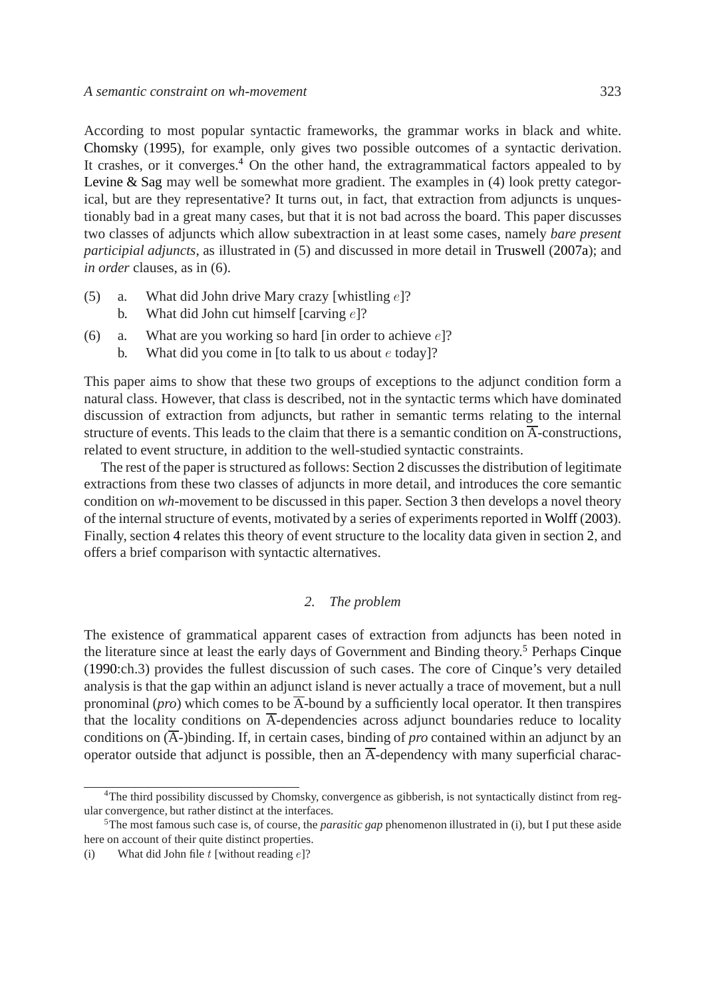According to most popular syntactic frameworks, the grammar works in black and white. [Chomsky](#page-18-1) [\(1995](#page-18-1)), for example, only gives two possible outcomes of a syntactic derivation. It crashes, or it converges.<sup>[4](#page-2-0)</sup> On the other hand, the extragrammatical factors appealed to by [Levine & Sag](#page-19-4) may well be somewhat more gradient. The examples in (4) look pretty categorical, but are they representative? It turns out, in fact, that extraction from adjuncts is unquestionably bad in a great many cases, but that it is not bad across the board. This paper discusses two classes of adjuncts which allow subextraction in at least some cases, namely *bare present participial adjuncts*, as illustrated in (5) and discussed in more detail in [Truswell](#page-19-6) [\(2007a\)](#page-19-6); and *in order* clauses, as in (6).

- (5) a. What did John drive Mary crazy [whistling  $e$ ]? b. What did John cut himself [carving  $e$ ]?
- (6) a. What are you working so hard [in order to achieve  $e$ ]?
	- b. What did you come in [to talk to us about  $e$  today]?

This paper aims to show that these two groups of exceptions to the adjunct condition form a natural class. However, that class is described, not in the syntactic terms which have dominated discussion of extraction from adjuncts, but rather in semantic terms relating to the internal structure of events. This leads to the claim that there is a semantic condition on  $\overline{A}$ -constructions, related to event structure, in addition to the well-studied syntactic constraints.

The rest of the paper is structured as follows: Section [2](#page-2-1) discusses the distribution of legitimate extractions from these two classes of adjuncts in more detail, and introduces the core semantic condition on *wh*-movement to be discussed in this paper. Section [3](#page-6-0) then develops a novel theory of the internal structure of events, motivated by a series of experiments reported in [Wolff](#page-19-7) [\(2003\)](#page-19-7). Finally, section [4](#page-12-0) relates this theory of event structure to the locality data given in section [2,](#page-2-1) and offers a brief comparison with syntactic alternatives.

## *2. The problem*

<span id="page-2-1"></span>The existence of grammatical apparent cases of extraction from adjuncts has been noted in the literature since at least the early days of Government and Binding theory.[5](#page-2-2) Perhaps [Cinque](#page-18-2) [\(1990:](#page-18-2)ch.3) provides the fullest discussion of such cases. The core of Cinque's very detailed analysis is that the gap within an adjunct island is never actually a trace of movement, but a null pronominal (*pro*) which comes to be  $\overline{A}$ -bound by a sufficiently local operator. It then transpires that the locality conditions on  $\overline{A}$ -dependencies across adjunct boundaries reduce to locality conditions on  $(\overline{A})$ -)binding. If, in certain cases, binding of *pro* contained within an adjunct by an operator outside that adjunct is possible, then an  $\overline{A}$ -dependency with many superficial charac-

<span id="page-2-0"></span><sup>&</sup>lt;sup>4</sup>The third possibility discussed by Chomsky, convergence as gibberish, is not syntactically distinct from regular convergence, but rather distinct at the interfaces.

<span id="page-2-2"></span><sup>5</sup>The most famous such case is, of course, the *parasitic gap* phenomenon illustrated in (i), but I put these aside here on account of their quite distinct properties.

<sup>(</sup>i) What did John file t [without reading  $e$ ]?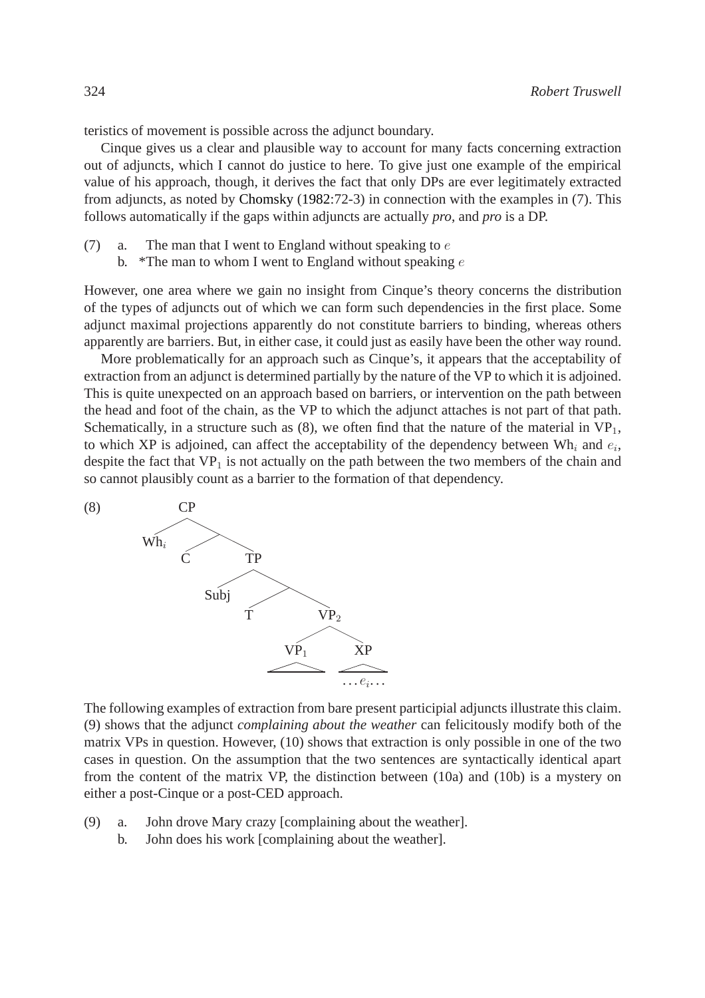teristics of movement is possible across the adjunct boundary.

Cinque gives us a clear and plausible way to account for many facts concerning extraction out of adjuncts, which I cannot do justice to here. To give just one example of the empirical value of his approach, though, it derives the fact that only DPs are ever legitimately extracted from adjuncts, as noted by [Chomsky](#page-18-3) [\(1982:](#page-18-3)72-3) in connection with the examples in (7). This follows automatically if the gaps within adjuncts are actually *pro*, and *pro* is a DP.

- <span id="page-3-2"></span><span id="page-3-1"></span>(7) a. The man that I went to England without speaking to  $e$ 
	- b. \*The man to whom I went to England without speaking  $e$

However, one area where we gain no insight from Cinque's theory concerns the distribution of the types of adjuncts out of which we can form such dependencies in the first place. Some adjunct maximal projections apparently do not constitute barriers to binding, whereas others apparently are barriers. But, in either case, it could just as easily have been the other way round.

More problematically for an approach such as Cinque's, it appears that the acceptability of extraction from an adjunct is determined partially by the nature of the VP to which it is adjoined. This is quite unexpected on an approach based on barriers, or intervention on the path between the head and foot of the chain, as the VP to which the adjunct attaches is not part of that path. Schematically, in a structure such as  $(8)$ , we often find that the nature of the material in  $VP_1$ , to which XP is adjoined, can affect the acceptability of the dependency between Wh<sub>i</sub> and  $e_i$ , despite the fact that  $VP_1$  is not actually on the path between the two members of the chain and so cannot plausibly count as a barrier to the formation of that dependency.



The following examples of extraction from bare present participial adjuncts illustrate this claim. (9) shows that the adjunct *complaining about the weather* can felicitously modify both of the matrix VPs in question. However, (10) shows that extraction is only possible in one of the two cases in question. On the assumption that the two sentences are syntactically identical apart from the content of the matrix VP, the distinction between (10a) and (10b) is a mystery on either a post-Cinque or a post-CED approach.

- <span id="page-3-0"></span>(9) a. John drove Mary crazy [complaining about the weather].
	- b. John does his work [complaining about the weather].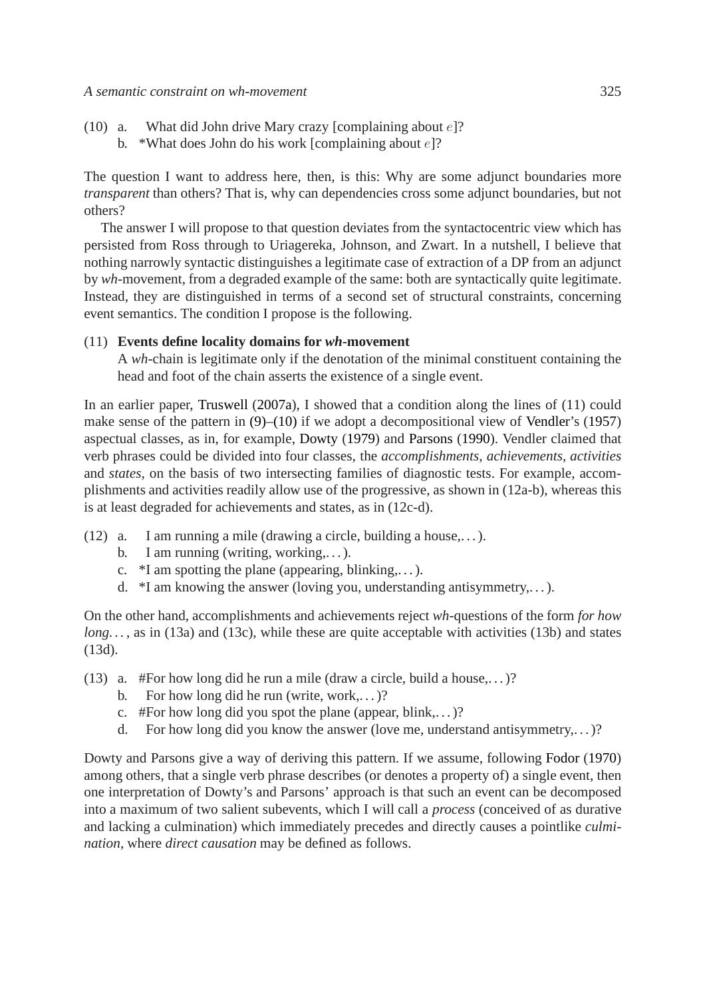- <span id="page-4-1"></span><span id="page-4-0"></span>(10) a. What did John drive Mary crazy [complaining about  $e$ ]?
	- b. \*What does John do his work [complaining about  $e$ ]?

The question I want to address here, then, is this: Why are some adjunct boundaries more *transparent* than others? That is, why can dependencies cross some adjunct boundaries, but not others?

The answer I will propose to that question deviates from the syntactocentric view which has persisted from Ross through to Uriagereka, Johnson, and Zwart. In a nutshell, I believe that nothing narrowly syntactic distinguishes a legitimate case of extraction of a DP from an adjunct by *wh*-movement, from a degraded example of the same: both are syntactically quite legitimate. Instead, they are distinguished in terms of a second set of structural constraints, concerning event semantics. The condition I propose is the following.

# <span id="page-4-2"></span>(11) **Events define locality domains for** *wh***-movement**

A *wh*-chain is legitimate only if the denotation of the minimal constituent containing the head and foot of the chain asserts the existence of a single event.

In an earlier paper, [Truswell](#page-19-6) [\(2007a](#page-19-6)), I showed that a condition along the lines of (11) could make sense of the pattern in [\(9\)–](#page-3-0)[\(10\)](#page-4-0) if we adopt a decompositional view of [Vendler](#page-19-8)'s [\(1957](#page-19-8)) aspectual classes, as in, for example, [Dowty](#page-18-4) [\(1979\)](#page-18-4) and [Parsons](#page-19-9) [\(1990\)](#page-19-9). Vendler claimed that verb phrases could be divided into four classes, the *accomplishments, achievements, activities* and *states*, on the basis of two intersecting families of diagnostic tests. For example, accomplishments and activities readily allow use of the progressive, as shown in (12a-b), whereas this is at least degraded for achievements and states, as in (12c-d).

- (12) a. I am running a mile (drawing a circle, building a house,. . . ).
	- b. I am running (writing, working,  $\dots$ ).
	- c.  $*I$  am spotting the plane (appearing, blinking,...).
	- d. \*I am knowing the answer (loving you, understanding antisymmetry,. . . ).

On the other hand, accomplishments and achievements reject *wh*-questions of the form *for how long...*, as in (13a) and (13c), while these are quite acceptable with activities (13b) and states (13d).

- (13) a. #For how long did he run a mile (draw a circle, build a house,...)?
	- b. For how long did he run (write, work,...)?
	- c. #For how long did you spot the plane (appear, blink,...)?
	- d. For how long did you know the answer (love me, understand antisymmetry,. . . )?

Dowty and Parsons give a way of deriving this pattern. If we assume, following [Fodor](#page-18-5) [\(1970](#page-18-5)) among others, that a single verb phrase describes (or denotes a property of) a single event, then one interpretation of Dowty's and Parsons' approach is that such an event can be decomposed into a maximum of two salient subevents, which I will call a *process* (conceived of as durative and lacking a culmination) which immediately precedes and directly causes a pointlike *culmination*, where *direct causation* may be defined as follows.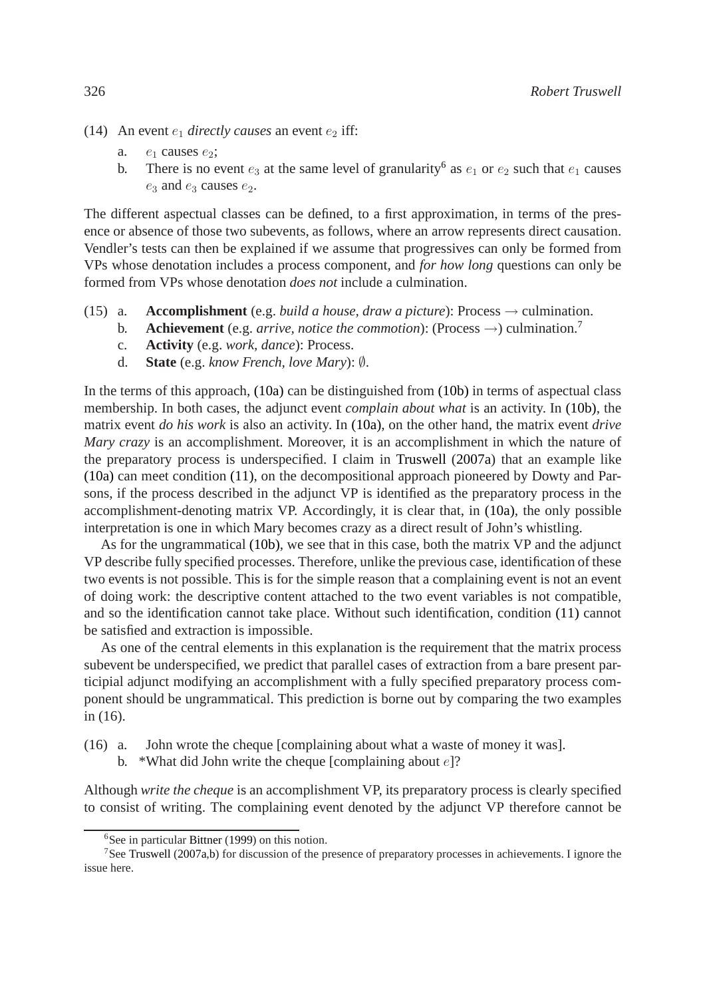- (14) An event  $e_1$  *directly causes* an event  $e_2$  iff:
	- a.  $e_1$  causes  $e_2$ ;
	- b. There is no event  $e_3$  at the same level of granularity<sup>[6](#page-5-0)</sup> as  $e_1$  or  $e_2$  such that  $e_1$  causes  $e_3$  and  $e_3$  causes  $e_2$ .

The different aspectual classes can be defined, to a first approximation, in terms of the presence or absence of those two subevents, as follows, where an arrow represents direct causation. Vendler's tests can then be explained if we assume that progressives can only be formed from VPs whose denotation includes a process component, and *for how long* questions can only be formed from VPs whose denotation *does not* include a culmination.

- <span id="page-5-3"></span>(15) a. **Accomplishment** (e.g. *build a house, draw a picture*): Process  $\rightarrow$  culmination.
	- b. **Achievement** (e.g. *arrive, notice the commotion*): (Process  $\rightarrow$ ) culmination.<sup>[7](#page-5-1)</sup>
		- c. **Activity** (e.g. *work, dance*): Process.
		- d. **State** (e.g. *know French, love Mary*): ∅.

In the terms of this approach, [\(10a\)](#page-4-0) can be distinguished from [\(10b\)](#page-4-1) in terms of aspectual class membership. In both cases, the adjunct event *complain about what* is an activity. In [\(10b\),](#page-4-1) the matrix event *do his work* is also an activity. In [\(10a\),](#page-4-0) on the other hand, the matrix event *drive Mary crazy* is an accomplishment. Moreover, it is an accomplishment in which the nature of the preparatory process is underspecified. I claim in [Truswell](#page-19-6) [\(2007a](#page-19-6)) that an example like [\(10a\)](#page-4-0) can meet condition [\(11\),](#page-4-2) on the decompositional approach pioneered by Dowty and Parsons, if the process described in the adjunct VP is identified as the preparatory process in the accomplishment-denoting matrix VP. Accordingly, it is clear that, in [\(10a\),](#page-4-0) the only possible interpretation is one in which Mary becomes crazy as a direct result of John's whistling.

As for the ungrammatical [\(10b\),](#page-4-1) we see that in this case, both the matrix VP and the adjunct VP describe fully specified processes. Therefore, unlike the previous case, identification of these two events is not possible. This is for the simple reason that a complaining event is not an event of doing work: the descriptive content attached to the two event variables is not compatible, and so the identification cannot take place. Without such identification, condition [\(11\)](#page-4-2) cannot be satisfied and extraction is impossible.

As one of the central elements in this explanation is the requirement that the matrix process subevent be underspecified, we predict that parallel cases of extraction from a bare present participial adjunct modifying an accomplishment with a fully specified preparatory process component should be ungrammatical. This prediction is borne out by comparing the two examples in (16).

- <span id="page-5-2"></span>(16) a. John wrote the cheque [complaining about what a waste of money it was].
	- b. \*What did John write the cheque [complaining about  $e$ ]?

Although *write the cheque* is an accomplishment VP, its preparatory process is clearly specified to consist of writing. The complaining event denoted by the adjunct VP therefore cannot be

 $6$ See in particular [Bittner](#page-18-6) [\(1999](#page-18-6)) on this notion.

<span id="page-5-1"></span><span id="page-5-0"></span><sup>7</sup>See [Truswell](#page-19-6) [\(2007a](#page-19-6)[,b\)](#page-19-10) for discussion of the presence of preparatory processes in achievements. I ignore the issue here.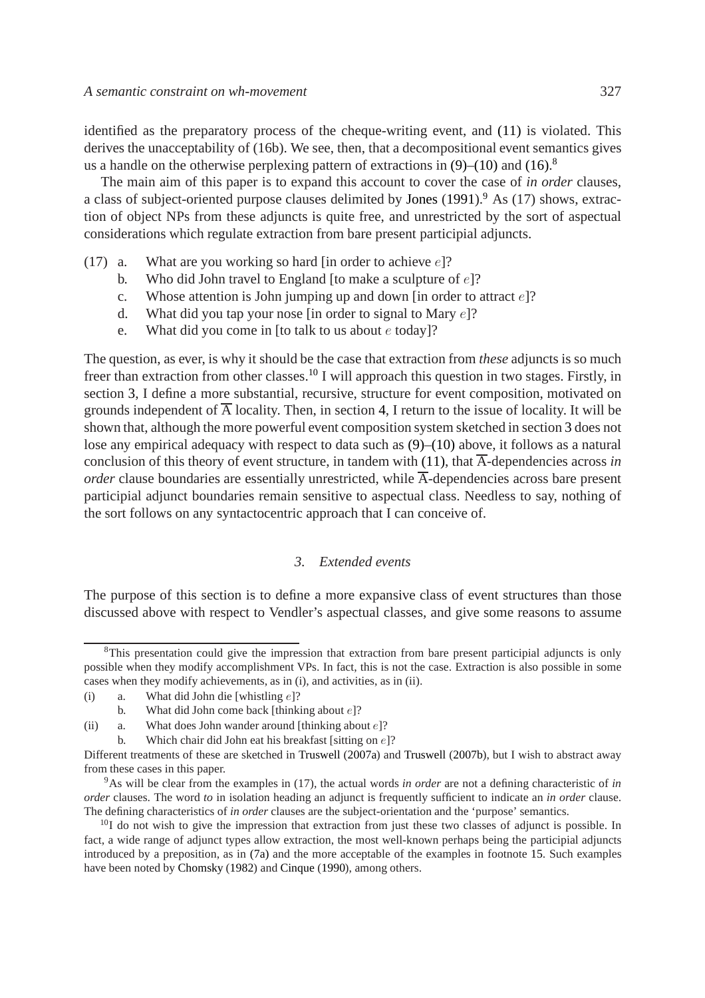identified as the preparatory process of the cheque-writing event, and [\(11\)](#page-4-2) is violated. This derives the unacceptability of (16b). We see, then, that a decompositional event semantics gives us a handle on the otherwise perplexing pattern of extractions in  $(9)$ – $(10)$  and  $(16)$ .<sup>[8](#page-6-1)</sup>

The main aim of this paper is to expand this account to cover the case of *in order* clauses, a class of subject-oriented purpose clauses delimited by [Jones](#page-19-11) [\(1991\)](#page-19-11).<sup>[9](#page-6-2)</sup> As (17) shows, extraction of object NPs from these adjuncts is quite free, and unrestricted by the sort of aspectual considerations which regulate extraction from bare present participial adjuncts.

- <span id="page-6-4"></span>(17) a. What are you working so hard [in order to achieve  $e$ ]?
	- b. Who did John travel to England [to make a sculpture of  $e$ ]?
	- c. Whose attention is John jumping up and down [in order to attract  $e$ ]?
	- d. What did you tap your nose [in order to signal to Mary  $e$ ]?
	- e. What did you come in [to talk to us about e today]?

The question, as ever, is why it should be the case that extraction from *these* adjuncts is so much freer than extraction from other classes.<sup>[10](#page-6-3)</sup> I will approach this question in two stages. Firstly, in section [3,](#page-6-0) I define a more substantial, recursive, structure for event composition, motivated on grounds independent of  $\overline{A}$  locality. Then, in section [4,](#page-12-0) I return to the issue of locality. It will be shown that, although the more powerful event composition system sketched in section [3](#page-6-0) does not lose any empirical adequacy with respect to data such as [\(9\)](#page-3-0)[–\(10\)](#page-4-0) above, it follows as a natural conclusion of this theory of event structure, in tandem with  $(11)$ , that  $\overline{A}$ -dependencies across *in order* clause boundaries are essentially unrestricted, while  $\overline{A}$ -dependencies across bare present participial adjunct boundaries remain sensitive to aspectual class. Needless to say, nothing of the sort follows on any syntactocentric approach that I can conceive of.

### *3. Extended events*

<span id="page-6-0"></span>The purpose of this section is to define a more expansive class of event structures than those discussed above with respect to Vendler's aspectual classes, and give some reasons to assume

<span id="page-6-1"></span><sup>&</sup>lt;sup>8</sup>This presentation could give the impression that extraction from bare present participial adjuncts is only possible when they modify accomplishment VPs. In fact, this is not the case. Extraction is also possible in some cases when they modify achievements, as in (i), and activities, as in (ii).

<sup>(</sup>i) a. What did John die [whistling  $e$ ]?

b. What did John come back [thinking about e]?

<sup>(</sup>ii) a. What does John wander around [thinking about  $e$ ]?

b. Which chair did John eat his breakfast [sitting on  $e$ ]?

Different treatments of these are sketched in [Truswell](#page-19-6) [\(2007a\)](#page-19-6) and [Truswell](#page-19-10) [\(2007b\)](#page-19-10), but I wish to abstract away from these cases in this paper.

<span id="page-6-2"></span><sup>9</sup>As will be clear from the examples in (17), the actual words *in order* are not a defining characteristic of *in order* clauses. The word *to* in isolation heading an adjunct is frequently sufficient to indicate an *in order* clause. The defining characteristics of *in order* clauses are the subject-orientation and the 'purpose' semantics.

<span id="page-6-3"></span> $^{10}$ I do not wish to give the impression that extraction from just these two classes of adjunct is possible. In fact, a wide range of adjunct types allow extraction, the most well-known perhaps being the participial adjuncts introduced by a preposition, as in [\(7a\)](#page-3-1) and the more acceptable of the examples in footnote [15.](#page-12-1) Such examples have been noted by [Chomsky](#page-18-3) [\(1982\)](#page-18-3) and [Cinque](#page-18-2) [\(1990](#page-18-2)), among others.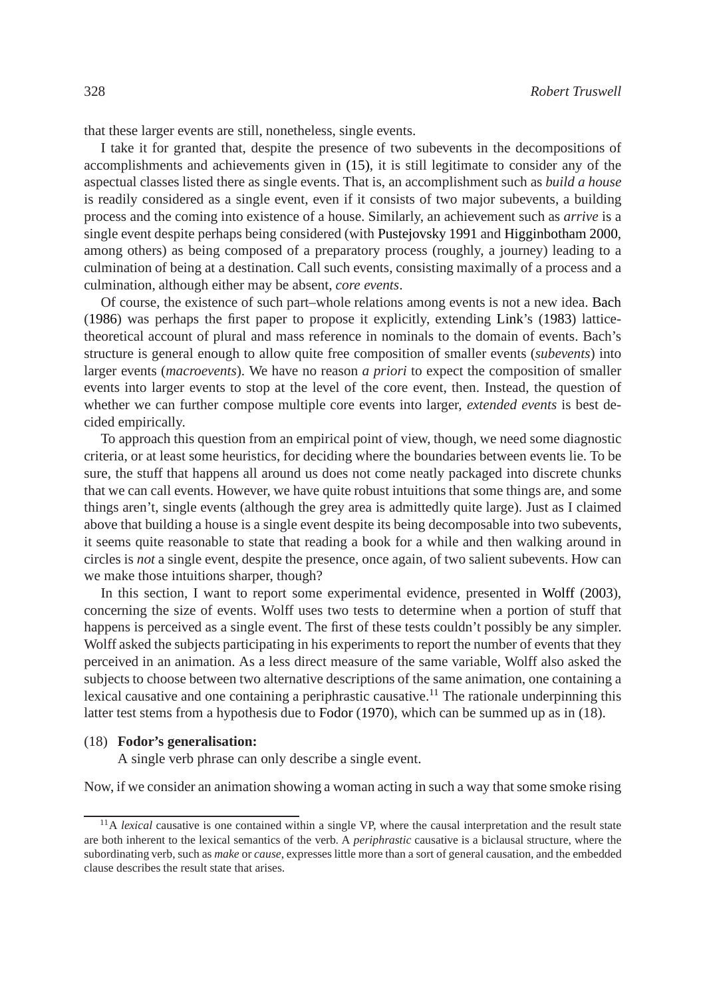that these larger events are still, nonetheless, single events.

I take it for granted that, despite the presence of two subevents in the decompositions of accomplishments and achievements given in [\(15\),](#page-5-3) it is still legitimate to consider any of the aspectual classes listed there as single events. That is, an accomplishment such as *build a house* is readily considered as a single event, even if it consists of two major subevents, a building process and the coming into existence of a house. Similarly, an achievement such as *arrive* is a single event despite perhaps being considered (with [Pustejovsky 1991](#page-19-12) and [Higginbotham 2000,](#page-18-7) among others) as being composed of a preparatory process (roughly, a journey) leading to a culmination of being at a destination. Call such events, consisting maximally of a process and a culmination, although either may be absent, *core events*.

Of course, the existence of such part–whole relations among events is not a new idea. [Bach](#page-18-8) [\(1986\)](#page-18-8) was perhaps the first paper to propose it explicitly, extending [Link'](#page-19-13)s [\(1983\)](#page-19-13) latticetheoretical account of plural and mass reference in nominals to the domain of events. Bach's structure is general enough to allow quite free composition of smaller events (*subevents*) into larger events (*macroevents*). We have no reason *a priori* to expect the composition of smaller events into larger events to stop at the level of the core event, then. Instead, the question of whether we can further compose multiple core events into larger, *extended events* is best decided empirically.

To approach this question from an empirical point of view, though, we need some diagnostic criteria, or at least some heuristics, for deciding where the boundaries between events lie. To be sure, the stuff that happens all around us does not come neatly packaged into discrete chunks that we can call events. However, we have quite robust intuitions that some things are, and some things aren't, single events (although the grey area is admittedly quite large). Just as I claimed above that building a house is a single event despite its being decomposable into two subevents, it seems quite reasonable to state that reading a book for a while and then walking around in circles is *not* a single event, despite the presence, once again, of two salient subevents. How can we make those intuitions sharper, though?

In this section, I want to report some experimental evidence, presented in [Wolff](#page-19-7) [\(2003\)](#page-19-7), concerning the size of events. Wolff uses two tests to determine when a portion of stuff that happens is perceived as a single event. The first of these tests couldn't possibly be any simpler. Wolff asked the subjects participating in his experiments to report the number of events that they perceived in an animation. As a less direct measure of the same variable, Wolff also asked the subjects to choose between two alternative descriptions of the same animation, one containing a lexical causative and one containing a periphrastic causative.<sup>[11](#page-7-0)</sup> The rationale underpinning this latter test stems from a hypothesis due to [Fodor](#page-18-5) [\(1970\)](#page-18-5), which can be summed up as in (18).

#### <span id="page-7-1"></span>(18) **Fodor's generalisation:**

A single verb phrase can only describe a single event.

Now, if we consider an animation showing a woman acting in such a way that some smoke rising

<span id="page-7-0"></span><sup>&</sup>lt;sup>11</sup>A *lexical* causative is one contained within a single VP, where the causal interpretation and the result state are both inherent to the lexical semantics of the verb. A *periphrastic* causative is a biclausal structure, where the subordinating verb, such as *make* or *cause*, expresses little more than a sort of general causation, and the embedded clause describes the result state that arises.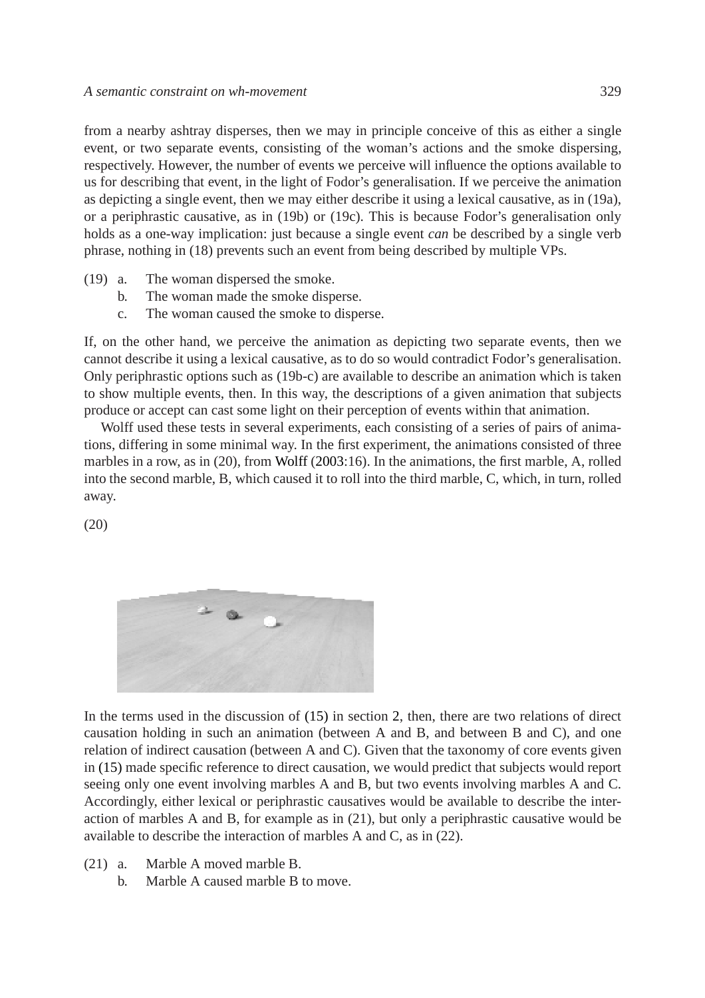from a nearby ashtray disperses, then we may in principle conceive of this as either a single event, or two separate events, consisting of the woman's actions and the smoke dispersing, respectively. However, the number of events we perceive will influence the options available to us for describing that event, in the light of Fodor's generalisation. If we perceive the animation as depicting a single event, then we may either describe it using a lexical causative, as in (19a), or a periphrastic causative, as in (19b) or (19c). This is because Fodor's generalisation only holds as a one-way implication: just because a single event *can* be described by a single verb phrase, nothing in (18) prevents such an event from being described by multiple VPs.

- (19) a. The woman dispersed the smoke.
	- b. The woman made the smoke disperse.
	- c. The woman caused the smoke to disperse.

If, on the other hand, we perceive the animation as depicting two separate events, then we cannot describe it using a lexical causative, as to do so would contradict Fodor's generalisation. Only periphrastic options such as (19b-c) are available to describe an animation which is taken to show multiple events, then. In this way, the descriptions of a given animation that subjects produce or accept can cast some light on their perception of events within that animation.

Wolff used these tests in several experiments, each consisting of a series of pairs of animations, differing in some minimal way. In the first experiment, the animations consisted of three marbles in a row, as in (20), from [Wolff](#page-19-7) [\(2003](#page-19-7):16). In the animations, the first marble, A, rolled into the second marble, B, which caused it to roll into the third marble, C, which, in turn, rolled away.

(20)



In the terms used in the discussion of [\(15\)](#page-5-3) in section [2,](#page-2-1) then, there are two relations of direct causation holding in such an animation (between A and B, and between B and C), and one relation of indirect causation (between A and C). Given that the taxonomy of core events given in [\(15\)](#page-5-3) made specific reference to direct causation, we would predict that subjects would report seeing only one event involving marbles A and B, but two events involving marbles A and C. Accordingly, either lexical or periphrastic causatives would be available to describe the interaction of marbles A and B, for example as in (21), but only a periphrastic causative would be available to describe the interaction of marbles A and C, as in (22).

- (21) a. Marble A moved marble B.
	- b. Marble A caused marble B to move.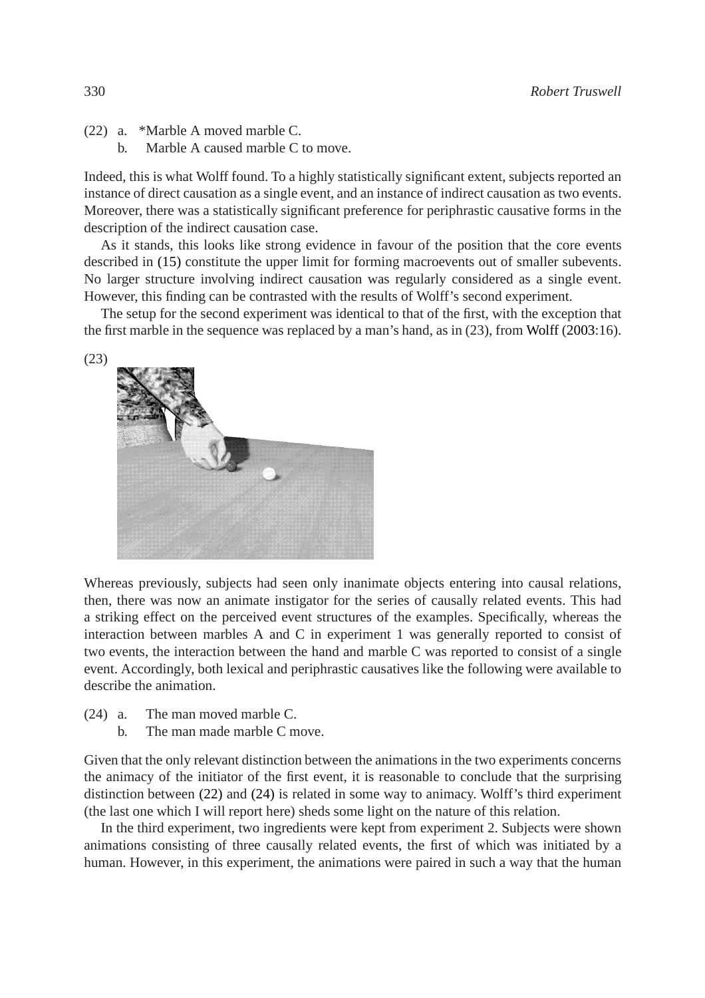- <span id="page-9-0"></span>(22) a. \*Marble A moved marble C.
	- b. Marble A caused marble C to move.

Indeed, this is what Wolff found. To a highly statistically significant extent, subjects reported an instance of direct causation as a single event, and an instance of indirect causation as two events. Moreover, there was a statistically significant preference for periphrastic causative forms in the description of the indirect causation case.

As it stands, this looks like strong evidence in favour of the position that the core events described in [\(15\)](#page-5-3) constitute the upper limit for forming macroevents out of smaller subevents. No larger structure involving indirect causation was regularly considered as a single event. However, this finding can be contrasted with the results of Wolff's second experiment.

The setup for the second experiment was identical to that of the first, with the exception that the first marble in the sequence was replaced by a man's hand, as in (23), from [Wolff](#page-19-7) [\(2003](#page-19-7):16).

(23)



Whereas previously, subjects had seen only inanimate objects entering into causal relations, then, there was now an animate instigator for the series of causally related events. This had a striking effect on the perceived event structures of the examples. Specifically, whereas the interaction between marbles A and C in experiment 1 was generally reported to consist of two events, the interaction between the hand and marble C was reported to consist of a single event. Accordingly, both lexical and periphrastic causatives like the following were available to describe the animation.

- <span id="page-9-1"></span>(24) a. The man moved marble C.
	- b. The man made marble C move.

Given that the only relevant distinction between the animations in the two experiments concerns the animacy of the initiator of the first event, it is reasonable to conclude that the surprising distinction between [\(22\)](#page-9-0) and [\(24\)](#page-9-1) is related in some way to animacy. Wolff's third experiment (the last one which I will report here) sheds some light on the nature of this relation.

In the third experiment, two ingredients were kept from experiment 2. Subjects were shown animations consisting of three causally related events, the first of which was initiated by a human. However, in this experiment, the animations were paired in such a way that the human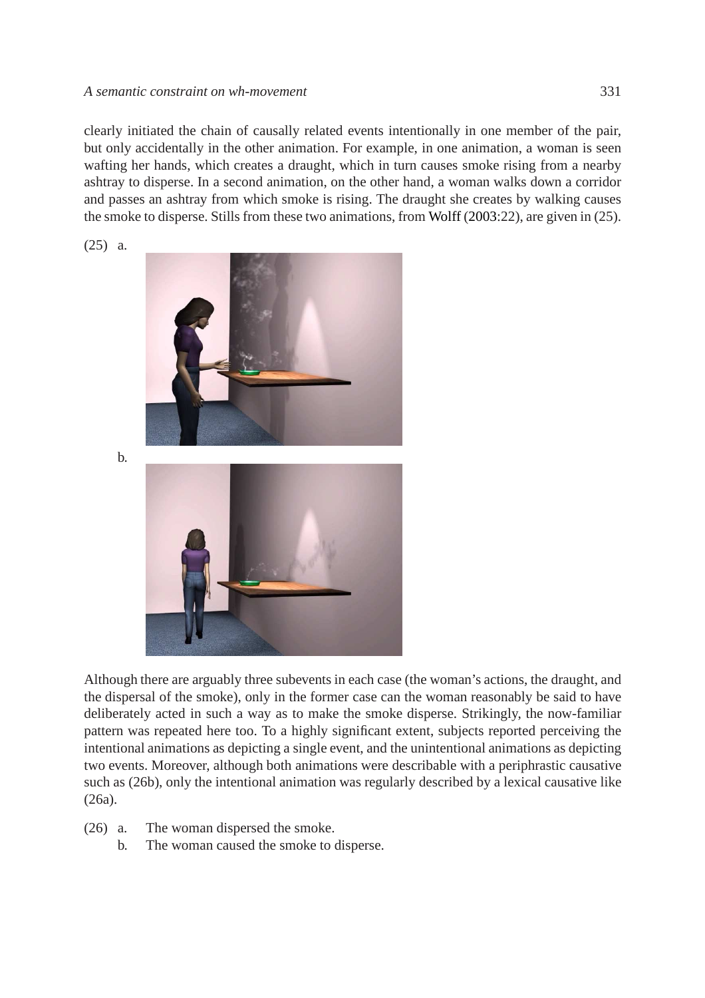#### *A semantic constraint on wh-movement* 331

clearly initiated the chain of causally related events intentionally in one member of the pair, but only accidentally in the other animation. For example, in one animation, a woman is seen wafting her hands, which creates a draught, which in turn causes smoke rising from a nearby ashtray to disperse. In a second animation, on the other hand, a woman walks down a corridor and passes an ashtray from which smoke is rising. The draught she creates by walking causes the smoke to disperse. Stills from these two animations, from [Wolff](#page-19-7) [\(2003](#page-19-7):22), are given in (25).

<span id="page-10-1"></span><span id="page-10-0"></span>(25) a.



Although there are arguably three subevents in each case (the woman's actions, the draught, and the dispersal of the smoke), only in the former case can the woman reasonably be said to have deliberately acted in such a way as to make the smoke disperse. Strikingly, the now-familiar pattern was repeated here too. To a highly significant extent, subjects reported perceiving the intentional animations as depicting a single event, and the unintentional animations as depicting two events. Moreover, although both animations were describable with a periphrastic causative such as (26b), only the intentional animation was regularly described by a lexical causative like (26a).

- (26) a. The woman dispersed the smoke.
	- b. The woman caused the smoke to disperse.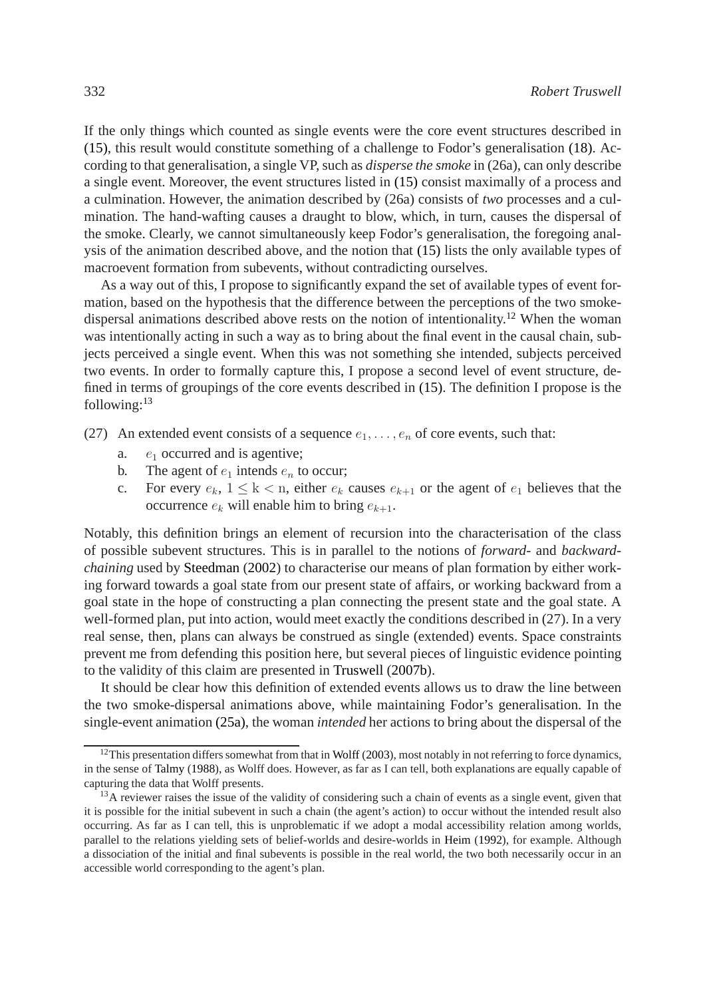If the only things which counted as single events were the core event structures described in [\(15\),](#page-5-3) this result would constitute something of a challenge to Fodor's generalisation [\(18\).](#page-7-1) According to that generalisation, a single VP, such as *disperse the smoke* in (26a), can only describe a single event. Moreover, the event structures listed in [\(15\)](#page-5-3) consist maximally of a process and a culmination. However, the animation described by (26a) consists of *two* processes and a culmination. The hand-wafting causes a draught to blow, which, in turn, causes the dispersal of the smoke. Clearly, we cannot simultaneously keep Fodor's generalisation, the foregoing analysis of the animation described above, and the notion that [\(15\)](#page-5-3) lists the only available types of macroevent formation from subevents, without contradicting ourselves.

As a way out of this, I propose to significantly expand the set of available types of event formation, based on the hypothesis that the difference between the perceptions of the two smoke-dispersal animations described above rests on the notion of intentionality.<sup>[12](#page-11-0)</sup> When the woman was intentionally acting in such a way as to bring about the final event in the causal chain, subjects perceived a single event. When this was not something she intended, subjects perceived two events. In order to formally capture this, I propose a second level of event structure, defined in terms of groupings of the core events described in [\(15\).](#page-5-3) The definition I propose is the following:[13](#page-11-1)

- (27) An extended event consists of a sequence  $e_1, \ldots, e_n$  of core events, such that:
	- a.  $e_1$  occurred and is agentive;
	- b. The agent of  $e_1$  intends  $e_n$  to occur;
	- c. For every  $e_k$ ,  $1 \leq k < n$ , either  $e_k$  causes  $e_{k+1}$  or the agent of  $e_1$  believes that the occurrence  $e_k$  will enable him to bring  $e_{k+1}$ .

Notably, this definition brings an element of recursion into the characterisation of the class of possible subevent structures. This is in parallel to the notions of *forward-* and *backwardchaining* used by [Steedman](#page-19-14) [\(2002](#page-19-14)) to characterise our means of plan formation by either working forward towards a goal state from our present state of affairs, or working backward from a goal state in the hope of constructing a plan connecting the present state and the goal state. A well-formed plan, put into action, would meet exactly the conditions described in (27). In a very real sense, then, plans can always be construed as single (extended) events. Space constraints prevent me from defending this position here, but several pieces of linguistic evidence pointing to the validity of this claim are presented in [Truswell](#page-19-10) [\(2007b](#page-19-10)).

It should be clear how this definition of extended events allows us to draw the line between the two smoke-dispersal animations above, while maintaining Fodor's generalisation. In the single-event animation [\(25a\),](#page-10-0) the woman *intended* her actions to bring about the dispersal of the

<span id="page-11-0"></span> $12$ This presentation differs somewhat from that in [Wolff](#page-19-7) [\(2003\)](#page-19-7), most notably in not referring to force dynamics, in the sense of [Talmy](#page-19-15) [\(1988\)](#page-19-15), as Wolff does. However, as far as I can tell, both explanations are equally capable of capturing the data that Wolff presents.

<span id="page-11-1"></span><sup>&</sup>lt;sup>13</sup>A reviewer raises the issue of the validity of considering such a chain of events as a single event, given that it is possible for the initial subevent in such a chain (the agent's action) to occur without the intended result also occurring. As far as I can tell, this is unproblematic if we adopt a modal accessibility relation among worlds, parallel to the relations yielding sets of belief-worlds and desire-worlds in [Heim](#page-18-9) [\(1992\)](#page-18-9), for example. Although a dissociation of the initial and final subevents is possible in the real world, the two both necessarily occur in an accessible world corresponding to the agent's plan.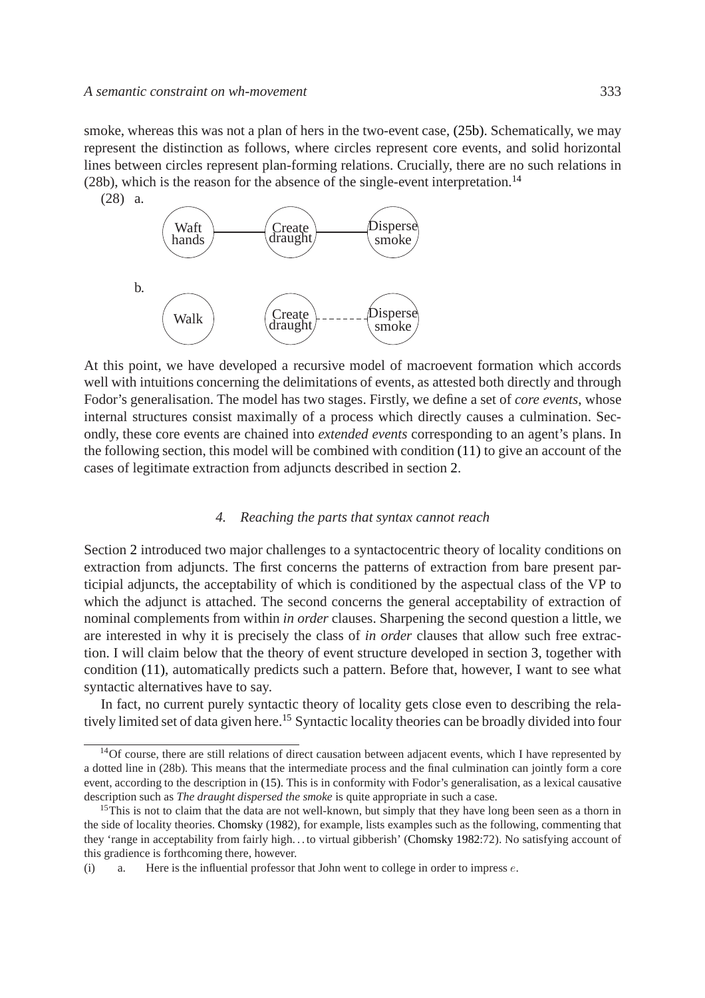smoke, whereas this was not a plan of hers in the two-event case, [\(25b\).](#page-10-1) Schematically, we may represent the distinction as follows, where circles represent core events, and solid horizontal lines between circles represent plan-forming relations. Crucially, there are no such relations in  $(28b)$ , which is the reason for the absence of the single-event interpretation.<sup>[14](#page-12-2)</sup>

(28) a.



At this point, we have developed a recursive model of macroevent formation which accords well with intuitions concerning the delimitations of events, as attested both directly and through Fodor's generalisation. The model has two stages. Firstly, we define a set of *core events*, whose internal structures consist maximally of a process which directly causes a culmination. Secondly, these core events are chained into *extended events* corresponding to an agent's plans. In the following section, this model will be combined with condition [\(11\)](#page-4-2) to give an account of the cases of legitimate extraction from adjuncts described in section [2.](#page-2-1)

#### *4. Reaching the parts that syntax cannot reach*

<span id="page-12-0"></span>Section [2](#page-2-1) introduced two major challenges to a syntactocentric theory of locality conditions on extraction from adjuncts. The first concerns the patterns of extraction from bare present participial adjuncts, the acceptability of which is conditioned by the aspectual class of the VP to which the adjunct is attached. The second concerns the general acceptability of extraction of nominal complements from within *in order* clauses. Sharpening the second question a little, we are interested in why it is precisely the class of *in order* clauses that allow such free extraction. I will claim below that the theory of event structure developed in section [3,](#page-6-0) together with condition [\(11\),](#page-4-2) automatically predicts such a pattern. Before that, however, I want to see what syntactic alternatives have to say.

In fact, no current purely syntactic theory of locality gets close even to describing the rela-tively limited set of data given here.<sup>[15](#page-12-1)</sup> Syntactic locality theories can be broadly divided into four

<span id="page-12-2"></span><sup>&</sup>lt;sup>14</sup>Of course, there are still relations of direct causation between adjacent events, which I have represented by a dotted line in (28b). This means that the intermediate process and the final culmination can jointly form a core event, according to the description in [\(15\).](#page-5-3) This is in conformity with Fodor's generalisation, as a lexical causative description such as *The draught dispersed the smoke* is quite appropriate in such a case.

<span id="page-12-1"></span><sup>&</sup>lt;sup>15</sup>This is not to claim that the data are not well-known, but simply that they have long been seen as a thorn in the side of locality theories. [Chomsky](#page-18-3) [\(1982\)](#page-18-3), for example, lists examples such as the following, commenting that they 'range in acceptability from fairly high. . . to virtual gibberish' [\(Chomsky 1982:](#page-18-3)72). No satisfying account of this gradience is forthcoming there, however.

<sup>(</sup>i) a. Here is the influential professor that John went to college in order to impress  $e$ .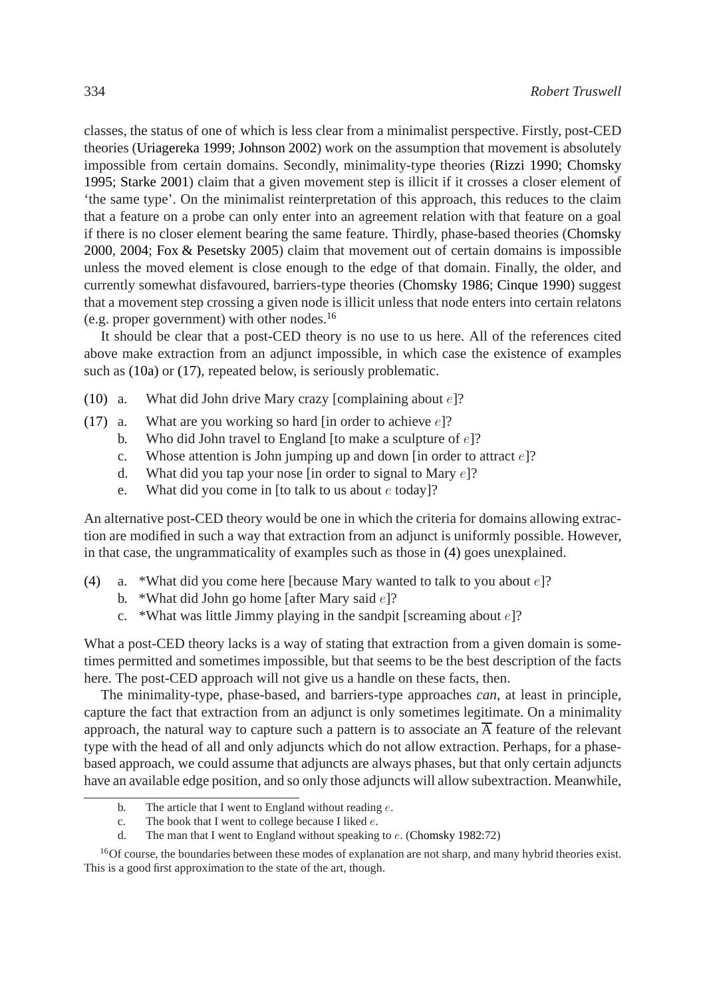classes, the status of one of which is less clear from a minimalist perspective. Firstly, post-CED theories [\(Uriagereka 1999](#page-19-1); [Johnson 2002](#page-19-2)) work on the assumption that movement is absolutely impossible from certain domains. Secondly, minimality-type theories [\(Rizzi 1990](#page-19-16); [Chomsky](#page-18-1) [1995;](#page-18-1) [Starke 2001](#page-19-17)) claim that a given movement step is illicit if it crosses a closer element of 'the same type'. On the minimalist reinterpretation of this approach, this reduces to the claim that a feature on a probe can only enter into an agreement relation with that feature on a goal if there is no closer element bearing the same feature. Thirdly, phase-based theories [\(Chomsky](#page-18-10) [2000,](#page-18-10) [2004](#page-18-11); [Fox & Pesetsky 2005](#page-18-12)) claim that movement out of certain domains is impossible unless the moved element is close enough to the edge of that domain. Finally, the older, and currently somewhat disfavoured, barriers-type theories [\(Chomsky 1986](#page-18-13); [Cinque 1990](#page-18-2)) suggest that a movement step crossing a given node is illicit unless that node enters into certain relatons (e.g. proper government) with other nodes.[16](#page-13-0)

It should be clear that a post-CED theory is no use to us here. All of the references cited above make extraction from an adjunct impossible, in which case the existence of examples such as [\(10a\)](#page-4-0) or [\(17\),](#page-6-4) repeated below, is seriously problematic.

- [\(10\)](#page-4-0) a. What did John drive Mary crazy [complaining about  $e$ ]?
- [\(17\)](#page-6-4) a. What are you working so hard [in order to achieve  $e$ ]?
	- b. Who did John travel to England [to make a sculpture of  $e$ ]?
	- c. Whose attention is John jumping up and down [in order to attract  $e$ ]?
	- d. What did you tap your nose [in order to signal to Mary  $e$ ]?
	- e. What did you come in [to talk to us about  $e$  today]?

An alternative post-CED theory would be one in which the criteria for domains allowing extraction are modified in such a way that extraction from an adjunct is uniformly possible. However, in that case, the ungrammaticality of examples such as those in [\(4\)](#page-1-2) goes unexplained.

- [\(4\)](#page-1-2) a. \*What did you come here [because Mary wanted to talk to you about e]?
	- b. \*What did John go home [after Mary said  $e$ ]?
	- c. \*What was little Jimmy playing in the sandpit [screaming about  $e$ ]?

What a post-CED theory lacks is a way of stating that extraction from a given domain is sometimes permitted and sometimes impossible, but that seems to be the best description of the facts here. The post-CED approach will not give us a handle on these facts, then.

The minimality-type, phase-based, and barriers-type approaches *can*, at least in principle, capture the fact that extraction from an adjunct is only sometimes legitimate. On a minimality approach, the natural way to capture such a pattern is to associate an  $\overline{A}$  feature of the relevant type with the head of all and only adjuncts which do not allow extraction. Perhaps, for a phasebased approach, we could assume that adjuncts are always phases, but that only certain adjuncts have an available edge position, and so only those adjuncts will allow subextraction. Meanwhile,

b. The article that I went to England without reading  $e$ .

c. The book that I went to college because I liked  $e$ .

d. The man that I went to England without speaking to  $e$ . [\(Chomsky 1982:](#page-18-3)72)

<span id="page-13-0"></span> $^{16}$ Of course, the boundaries between these modes of explanation are not sharp, and many hybrid theories exist. This is a good first approximation to the state of the art, though.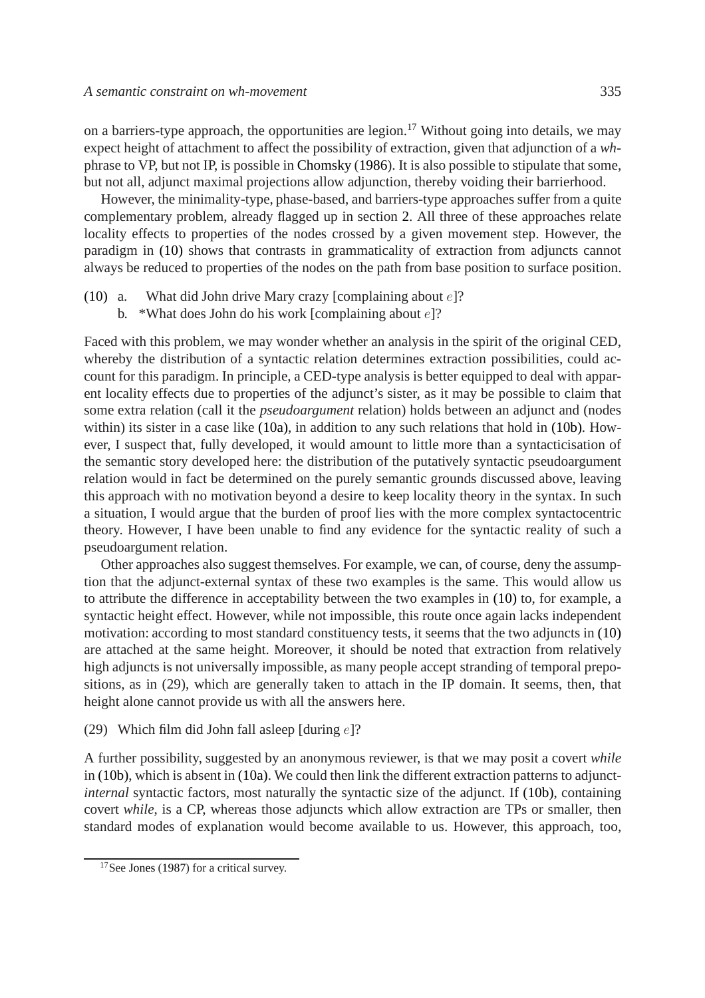on a barriers-type approach, the opportunities are legion.<sup>[17](#page-14-0)</sup> Without going into details, we may expect height of attachment to affect the possibility of extraction, given that adjunction of a *wh*phrase to VP, but not IP, is possible in [Chomsky](#page-18-13) [\(1986\)](#page-18-13). It is also possible to stipulate that some, but not all, adjunct maximal projections allow adjunction, thereby voiding their barrierhood.

However, the minimality-type, phase-based, and barriers-type approaches suffer from a quite complementary problem, already flagged up in section [2.](#page-2-1) All three of these approaches relate locality effects to properties of the nodes crossed by a given movement step. However, the paradigm in [\(10\)](#page-4-0) shows that contrasts in grammaticality of extraction from adjuncts cannot always be reduced to properties of the nodes on the path from base position to surface position.

- [\(10\)](#page-4-0) a. What did John drive Mary crazy [complaining about  $e$ ]?
	- b. \*What does John do his work [complaining about  $e$ ]?

Faced with this problem, we may wonder whether an analysis in the spirit of the original CED, whereby the distribution of a syntactic relation determines extraction possibilities, could account for this paradigm. In principle, a CED-type analysis is better equipped to deal with apparent locality effects due to properties of the adjunct's sister, as it may be possible to claim that some extra relation (call it the *pseudoargument* relation) holds between an adjunct and (nodes within) its sister in a case like [\(10a\),](#page-4-0) in addition to any such relations that hold in [\(10b\).](#page-4-1) However, I suspect that, fully developed, it would amount to little more than a syntacticisation of the semantic story developed here: the distribution of the putatively syntactic pseudoargument relation would in fact be determined on the purely semantic grounds discussed above, leaving this approach with no motivation beyond a desire to keep locality theory in the syntax. In such a situation, I would argue that the burden of proof lies with the more complex syntactocentric theory. However, I have been unable to find any evidence for the syntactic reality of such a pseudoargument relation.

Other approaches also suggest themselves. For example, we can, of course, deny the assumption that the adjunct-external syntax of these two examples is the same. This would allow us to attribute the difference in acceptability between the two examples in [\(10\)](#page-4-0) to, for example, a syntactic height effect. However, while not impossible, this route once again lacks independent motivation: according to most standard constituency tests, it seems that the two adjuncts in [\(10\)](#page-4-0) are attached at the same height. Moreover, it should be noted that extraction from relatively high adjuncts is not universally impossible, as many people accept stranding of temporal prepositions, as in (29), which are generally taken to attach in the IP domain. It seems, then, that height alone cannot provide us with all the answers here.

(29) Which film did John fall asleep [during  $e$ ]?

A further possibility, suggested by an anonymous reviewer, is that we may posit a covert *while* in [\(10b\),](#page-4-1) which is absent in [\(10a\).](#page-4-0) We could then link the different extraction patterns to adjunct*internal* syntactic factors, most naturally the syntactic size of the adjunct. If [\(10b\),](#page-4-1) containing covert *while*, is a CP, whereas those adjuncts which allow extraction are TPs or smaller, then standard modes of explanation would become available to us. However, this approach, too,

<span id="page-14-0"></span><sup>&</sup>lt;sup>17</sup>See [Jones](#page-19-18) [\(1987\)](#page-19-18) for a critical survey.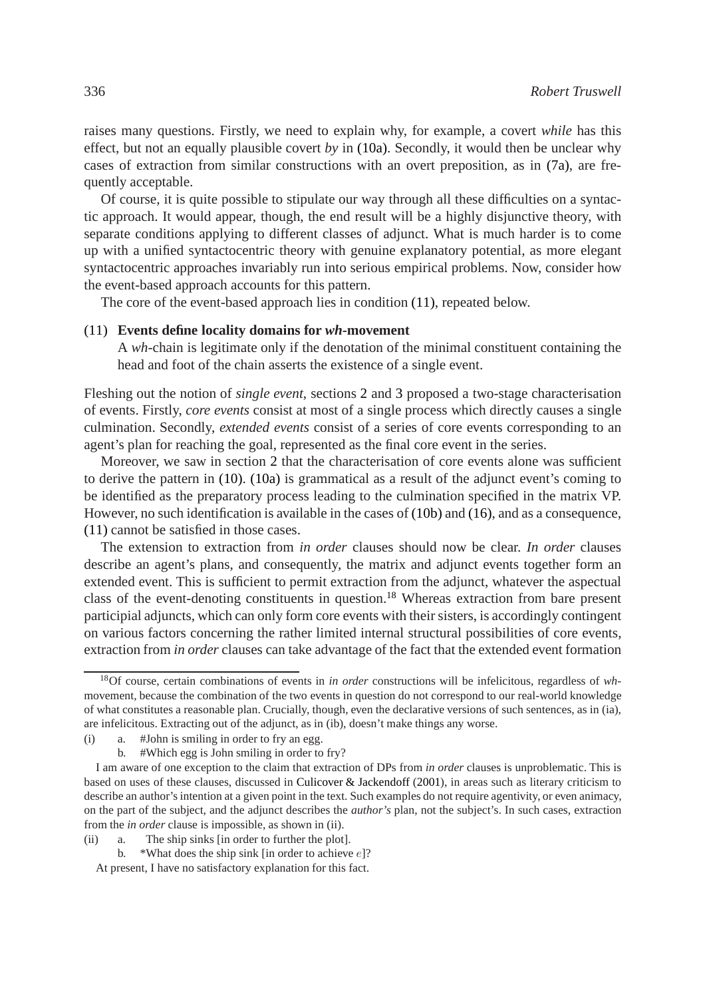raises many questions. Firstly, we need to explain why, for example, a covert *while* has this effect, but not an equally plausible covert *by* in [\(10a\).](#page-4-0) Secondly, it would then be unclear why cases of extraction from similar constructions with an overt preposition, as in [\(7a\),](#page-3-1) are frequently acceptable.

Of course, it is quite possible to stipulate our way through all these difficulties on a syntactic approach. It would appear, though, the end result will be a highly disjunctive theory, with separate conditions applying to different classes of adjunct. What is much harder is to come up with a unified syntactocentric theory with genuine explanatory potential, as more elegant syntactocentric approaches invariably run into serious empirical problems. Now, consider how the event-based approach accounts for this pattern.

The core of the event-based approach lies in condition [\(11\),](#page-4-2) repeated below.

## [\(11\)](#page-4-2) **Events define locality domains for** *wh***-movement**

A *wh*-chain is legitimate only if the denotation of the minimal constituent containing the head and foot of the chain asserts the existence of a single event.

Fleshing out the notion of *single event*, sections [2](#page-2-1) and [3](#page-6-0) proposed a two-stage characterisation of events. Firstly, *core events* consist at most of a single process which directly causes a single culmination. Secondly, *extended events* consist of a series of core events corresponding to an agent's plan for reaching the goal, represented as the final core event in the series.

Moreover, we saw in section [2](#page-2-1) that the characterisation of core events alone was sufficient to derive the pattern in [\(10\).](#page-4-0) [\(10a\)](#page-4-0) is grammatical as a result of the adjunct event's coming to be identified as the preparatory process leading to the culmination specified in the matrix VP. However, no such identification is available in the cases of [\(10b\)](#page-4-1) and [\(16\),](#page-5-2) and as a consequence, [\(11\)](#page-4-2) cannot be satisfied in those cases.

The extension to extraction from *in order* clauses should now be clear. *In order* clauses describe an agent's plans, and consequently, the matrix and adjunct events together form an extended event. This is sufficient to permit extraction from the adjunct, whatever the aspectual class of the event-denoting constituents in question.[18](#page-15-0) Whereas extraction from bare present participial adjuncts, which can only form core events with their sisters, is accordingly contingent on various factors concerning the rather limited internal structural possibilities of core events, extraction from *in order* clauses can take advantage of the fact that the extended event formation

<span id="page-15-0"></span><sup>18</sup>Of course, certain combinations of events in *in order* constructions will be infelicitous, regardless of *wh*movement, because the combination of the two events in question do not correspond to our real-world knowledge of what constitutes a reasonable plan. Crucially, though, even the declarative versions of such sentences, as in (ia), are infelicitous. Extracting out of the adjunct, as in (ib), doesn't make things any worse.

<sup>(</sup>i) a. #John is smiling in order to fry an egg.

b. #Which egg is John smiling in order to fry?

I am aware of one exception to the claim that extraction of DPs from *in order* clauses is unproblematic. This is based on uses of these clauses, discussed in [Culicover & Jackendoff](#page-18-14) [\(2001\)](#page-18-14), in areas such as literary criticism to describe an author's intention at a given point in the text. Such examples do not require agentivity, or even animacy, on the part of the subject, and the adjunct describes the *author's* plan, not the subject's. In such cases, extraction from the *in order* clause is impossible, as shown in (ii).

<sup>(</sup>ii) a. The ship sinks [in order to further the plot].

b. \*What does the ship sink [in order to achieve  $e$ ]?

At present, I have no satisfactory explanation for this fact.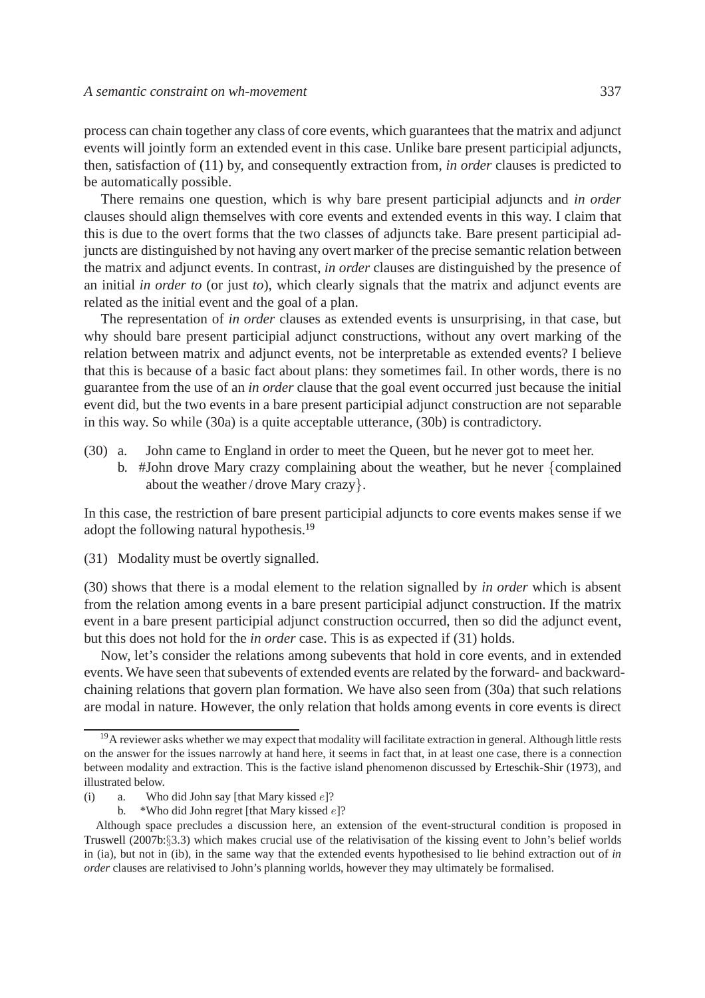process can chain together any class of core events, which guarantees that the matrix and adjunct events will jointly form an extended event in this case. Unlike bare present participial adjuncts, then, satisfaction of [\(11\)](#page-4-2) by, and consequently extraction from, *in order* clauses is predicted to be automatically possible.

There remains one question, which is why bare present participial adjuncts and *in order* clauses should align themselves with core events and extended events in this way. I claim that this is due to the overt forms that the two classes of adjuncts take. Bare present participial adjuncts are distinguished by not having any overt marker of the precise semantic relation between the matrix and adjunct events. In contrast, *in order* clauses are distinguished by the presence of an initial *in order to* (or just *to*), which clearly signals that the matrix and adjunct events are related as the initial event and the goal of a plan.

The representation of *in order* clauses as extended events is unsurprising, in that case, but why should bare present participial adjunct constructions, without any overt marking of the relation between matrix and adjunct events, not be interpretable as extended events? I believe that this is because of a basic fact about plans: they sometimes fail. In other words, there is no guarantee from the use of an *in order* clause that the goal event occurred just because the initial event did, but the two events in a bare present participial adjunct construction are not separable in this way. So while (30a) is a quite acceptable utterance, (30b) is contradictory.

- <span id="page-16-1"></span>(30) a. John came to England in order to meet the Queen, but he never got to meet her.
	- b. #John drove Mary crazy complaining about the weather, but he never {complained about the weather / drove Mary crazy}.

<span id="page-16-2"></span>In this case, the restriction of bare present participial adjuncts to core events makes sense if we adopt the following natural hypothesis.[19](#page-16-0)

(31) Modality must be overtly signalled.

(30) shows that there is a modal element to the relation signalled by *in order* which is absent from the relation among events in a bare present participial adjunct construction. If the matrix event in a bare present participial adjunct construction occurred, then so did the adjunct event, but this does not hold for the *in order* case. This is as expected if (31) holds.

Now, let's consider the relations among subevents that hold in core events, and in extended events. We have seen that subevents of extended events are related by the forward- and backwardchaining relations that govern plan formation. We have also seen from (30a) that such relations are modal in nature. However, the only relation that holds among events in core events is direct

- (i) a. Who did John say [that Mary kissed  $e$ ]?
	- b. \*Who did John regret [that Mary kissed  $e$ ]?

<span id="page-16-0"></span> $19A$  reviewer asks whether we may expect that modality will facilitate extraction in general. Although little rests on the answer for the issues narrowly at hand here, it seems in fact that, in at least one case, there is a connection between modality and extraction. This is the factive island phenomenon discussed by [Erteschik-Shir](#page-18-15) [\(1973\)](#page-18-15), and illustrated below.

Although space precludes a discussion here, an extension of the event-structural condition is proposed in [Truswell](#page-19-10) [\(2007b:](#page-19-10)§3.3) which makes crucial use of the relativisation of the kissing event to John's belief worlds in (ia), but not in (ib), in the same way that the extended events hypothesised to lie behind extraction out of *in order* clauses are relativised to John's planning worlds, however they may ultimately be formalised.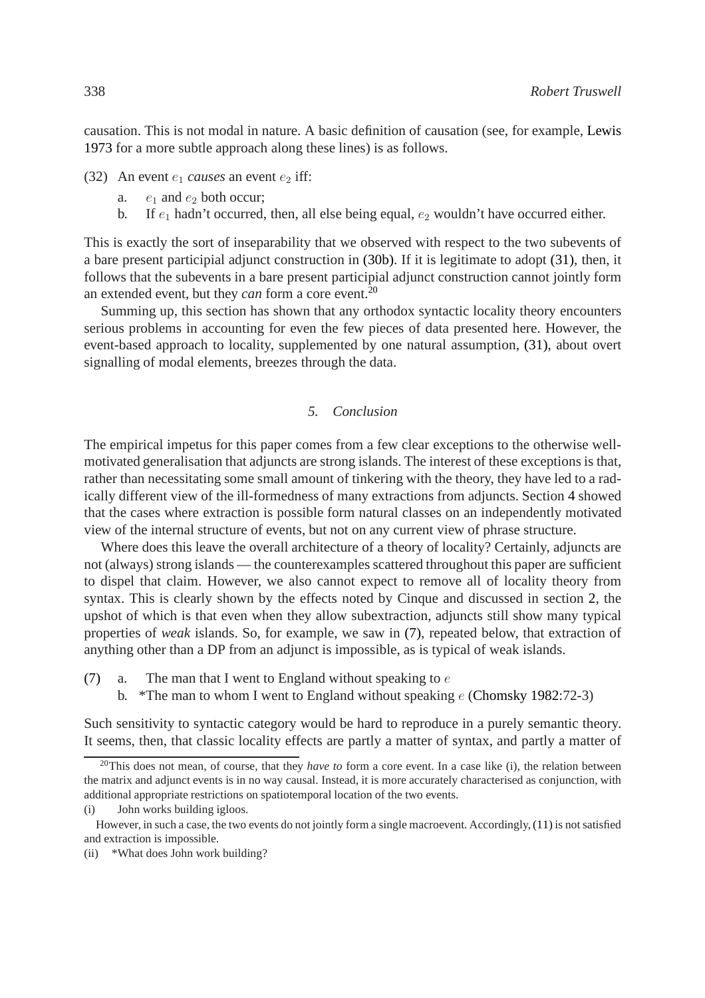causation. This is not modal in nature. A basic definition of causation (see, for example, [Lewis](#page-19-19) [1973](#page-19-19) for a more subtle approach along these lines) is as follows.

- (32) An event  $e_1$  *causes* an event  $e_2$  iff:
	- a.  $e_1$  and  $e_2$  both occur;
	- b. If  $e_1$  hadn't occurred, then, all else being equal,  $e_2$  wouldn't have occurred either.

This is exactly the sort of inseparability that we observed with respect to the two subevents of a bare present participial adjunct construction in [\(30b\).](#page-16-1) If it is legitimate to adopt [\(31\),](#page-16-2) then, it follows that the subevents in a bare present participial adjunct construction cannot jointly form an extended event, but they *can* form a core event.[20](#page-17-1)

Summing up, this section has shown that any orthodox syntactic locality theory encounters serious problems in accounting for even the few pieces of data presented here. However, the event-based approach to locality, supplemented by one natural assumption, [\(31\),](#page-16-2) about overt signalling of modal elements, breezes through the data.

## *5. Conclusion*

The empirical impetus for this paper comes from a few clear exceptions to the otherwise wellmotivated generalisation that adjuncts are strong islands. The interest of these exceptions is that, rather than necessitating some small amount of tinkering with the theory, they have led to a radically different view of the ill-formedness of many extractions from adjuncts. Section [4](#page-12-0) showed that the cases where extraction is possible form natural classes on an independently motivated view of the internal structure of events, but not on any current view of phrase structure.

Where does this leave the overall architecture of a theory of locality? Certainly, adjuncts are not (always) strong islands — the counterexamples scattered throughout this paper are sufficient to dispel that claim. However, we also cannot expect to remove all of locality theory from syntax. This is clearly shown by the effects noted by Cinque and discussed in section [2,](#page-2-1) the upshot of which is that even when they allow subextraction, adjuncts still show many typical properties of *weak* islands. So, for example, we saw in [\(7\),](#page-3-2) repeated below, that extraction of anything other than a DP from an adjunct is impossible, as is typical of weak islands.

- <span id="page-17-0"></span>[\(7\)](#page-3-2) a. The man that I went to England without speaking to  $e$ 
	- b. \*The man to whom I went to England without speaking  $e$  [\(Chomsky 1982:](#page-18-3)72-3)

Such sensitivity to syntactic category would be hard to reproduce in a purely semantic theory. It seems, then, that classic locality effects are partly a matter of syntax, and partly a matter of

<span id="page-17-1"></span><sup>20</sup>This does not mean, of course, that they *have to* form a core event. In a case like (i), the relation between the matrix and adjunct events is in no way causal. Instead, it is more accurately characterised as conjunction, with additional appropriate restrictions on spatiotemporal location of the two events.

<sup>(</sup>i) John works building igloos.

However, in such a case, the two events do not jointly form a single macroevent. Accordingly,[\(11\)](#page-4-2) is not satisfied and extraction is impossible.

<sup>(</sup>ii) \*What does John work building?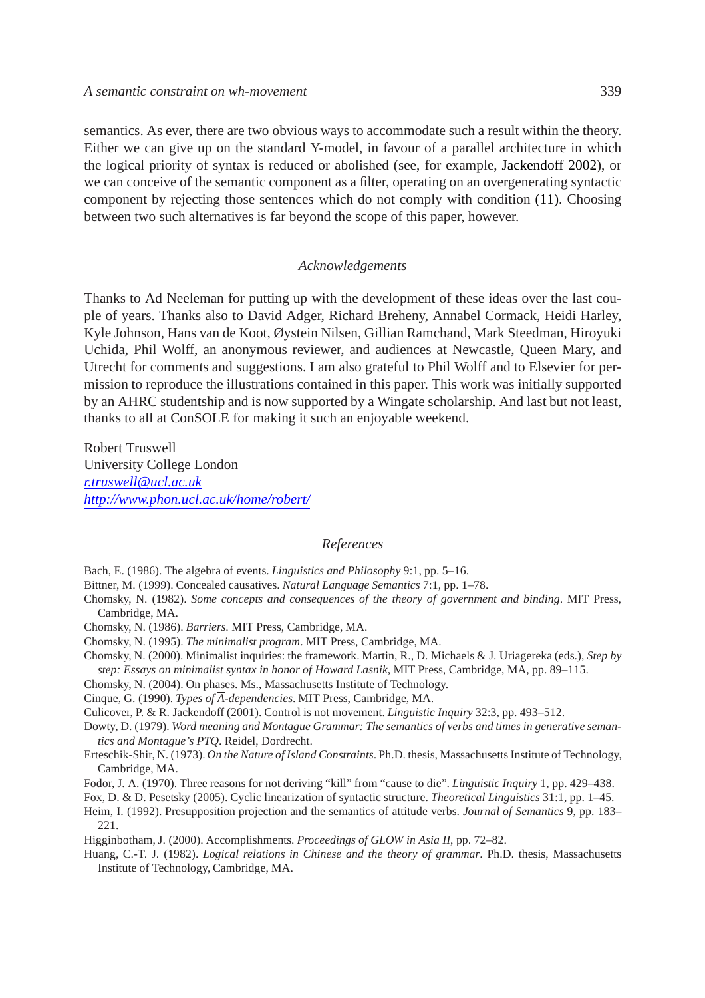semantics. As ever, there are two obvious ways to accommodate such a result within the theory. Either we can give up on the standard Y-model, in favour of a parallel architecture in which the logical priority of syntax is reduced or abolished (see, for example, [Jackendoff 2002\)](#page-19-20), or we can conceive of the semantic component as a filter, operating on an overgenerating syntactic component by rejecting those sentences which do not comply with condition [\(11\).](#page-4-2) Choosing between two such alternatives is far beyond the scope of this paper, however.

#### *Acknowledgements*

Thanks to Ad Neeleman for putting up with the development of these ideas over the last couple of years. Thanks also to David Adger, Richard Breheny, Annabel Cormack, Heidi Harley, Kyle Johnson, Hans van de Koot, Øystein Nilsen, Gillian Ramchand, Mark Steedman, Hiroyuki Uchida, Phil Wolff, an anonymous reviewer, and audiences at Newcastle, Queen Mary, and Utrecht for comments and suggestions. I am also grateful to Phil Wolff and to Elsevier for permission to reproduce the illustrations contained in this paper. This work was initially supported by an AHRC studentship and is now supported by a Wingate scholarship. And last but not least, thanks to all at ConSOLE for making it such an enjoyable weekend.

Robert Truswell University College London *[r.truswell@ucl.ac.uk](mailto:r.truswell@ucl.ac.uk) <http://www.phon.ucl.ac.uk/home/robert/>*

#### *References*

<span id="page-18-8"></span>Bach, E. (1986). The algebra of events. *Linguistics and Philosophy* 9:1, pp. 5–16.

<span id="page-18-6"></span>Bittner, M. (1999). Concealed causatives. *Natural Language Semantics* 7:1, pp. 1–78.

- <span id="page-18-3"></span>Chomsky, N. (1982). *Some concepts and consequences of the theory of government and binding*. MIT Press, Cambridge, MA.
- <span id="page-18-13"></span>Chomsky, N. (1986). *Barriers*. MIT Press, Cambridge, MA.
- <span id="page-18-1"></span>Chomsky, N. (1995). *The minimalist program*. MIT Press, Cambridge, MA.
- <span id="page-18-10"></span>Chomsky, N. (2000). Minimalist inquiries: the framework. Martin, R., D. Michaels & J. Uriagereka (eds.), *Step by step: Essays on minimalist syntax in honor of Howard Lasnik*, MIT Press, Cambridge, MA, pp. 89–115.
- <span id="page-18-11"></span>Chomsky, N. (2004). On phases. Ms., Massachusetts Institute of Technology.
- <span id="page-18-2"></span>Cinque, G. (1990). *Types of A-dependencies*. MIT Press, Cambridge, MA.

Culicover, P. & R. Jackendoff (2001). Control is not movement. *Linguistic Inquiry* 32:3, pp. 493–512.

- <span id="page-18-14"></span><span id="page-18-4"></span>Dowty, D. (1979). *Word meaning and Montague Grammar: The semantics of verbs and times in generative semantics and Montague's PTQ*. Reidel, Dordrecht.
- <span id="page-18-15"></span>Erteschik-Shir, N. (1973). *On the Nature of Island Constraints*. Ph.D. thesis, Massachusetts Institute of Technology, Cambridge, MA.
- <span id="page-18-5"></span>Fodor, J. A. (1970). Three reasons for not deriving "kill" from "cause to die". *Linguistic Inquiry* 1, pp. 429–438.
- <span id="page-18-12"></span>Fox, D. & D. Pesetsky (2005). Cyclic linearization of syntactic structure. *Theoretical Linguistics* 31:1, pp. 1–45.
- <span id="page-18-9"></span>Heim, I. (1992). Presupposition projection and the semantics of attitude verbs. *Journal of Semantics* 9, pp. 183– 221.
- Higginbotham, J. (2000). Accomplishments. *Proceedings of GLOW in Asia II*, pp. 72–82.
- <span id="page-18-7"></span><span id="page-18-0"></span>Huang, C.-T. J. (1982). *Logical relations in Chinese and the theory of grammar*. Ph.D. thesis, Massachusetts Institute of Technology, Cambridge, MA.